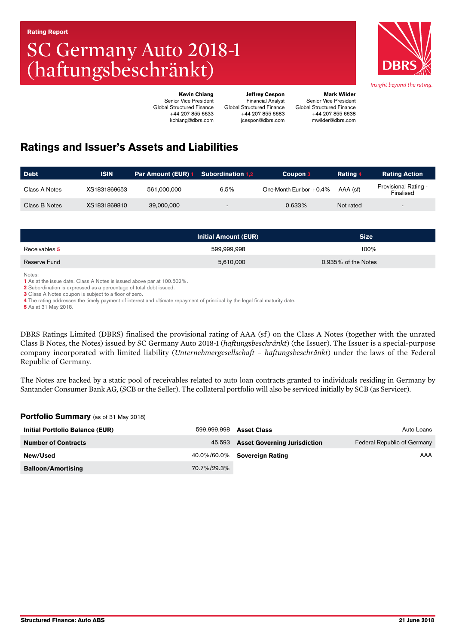# SC Germany Auto 2018-1 (haftungsbeschränkt)



Kevin Chiang Senior Vice President Global Structured Finance +44 207 855 6633 kchiang@dbrs.com Global Structured Finance

Mark Wilder Senior Vice President Global Structured Finance +44 207 855 6638 mwilder@dbrs.com

Jeffrey Cespon Financial Analyst

+44 207 855 6683 jcespon@dbrs.com

# Ratings and Issuer's Assets and Liabilities

| <b>Debt</b>   | <b>ISIN</b>  | <b>Par Amount (EUR) 1 Subordination 1.2</b> |        | Coupon 3                   | Rating 4  | <b>Rating Action</b>                     |
|---------------|--------------|---------------------------------------------|--------|----------------------------|-----------|------------------------------------------|
| Class A Notes | XS1831869653 | 561.000.000                                 | 6.5%   | One-Month Euribor $+0.4\%$ | AAA (sf)  | <b>Provisional Rating -</b><br>Finalised |
| Class B Notes | XS1831869810 | 39,000,000                                  | $\sim$ | 0.633%                     | Not rated |                                          |

|               | <b>Initial Amount (EUR)</b> | <b>Size</b>         |
|---------------|-----------------------------|---------------------|
| Receivables 5 | 599,999,998                 | 100%                |
| Reserve Fund  | 5,610,000                   | 0.935% of the Notes |

Notes:

1 As at the issue date. Class A Notes is issued above par at 100.502%.

2 Subordination is expressed as a percentage of total debt issued.

3 Class A Notes coupon is subject to a floor of zero.

4 The rating addresses the timely payment of interest and ultimate repayment of principal by the legal final maturity date.

**5** As at 31 May 2018.

DBRS Ratings Limited (DBRS) finalised the provisional rating of AAA (sf) on the Class A Notes (together with the unrated Class B Notes, the Notes) issued by SC Germany Auto 2018-1 (*haftungsbeschränkt*) (the Issuer). The Issuer is a special-purpose company incorporated with limited liability (*Unternehmergesellschaft – haftungsbeschränkt*) under the laws of the Federal Republic of Germany.

The Notes are backed by a static pool of receivables related to auto loan contracts granted to individuals residing in Germany by Santander Consumer Bank AG, (SCB or the Seller). The collateral portfolio will also be serviced initially by SCB (as Servicer).

#### Portfolio Summary (as of 31 May 2018)

| Initial Portfolio Balance (EUR) | 599.999.998 | <b>Asset Class</b>                  | Auto Loans                  |
|---------------------------------|-------------|-------------------------------------|-----------------------------|
| <b>Number of Contracts</b>      | 45.593      | <b>Asset Governing Jurisdiction</b> | Federal Republic of Germany |
| New/Used                        |             | 40.0%/60.0% <b>Sovereign Rating</b> | AAA                         |
| <b>Balloon/Amortising</b>       | 70.7%/29.3% |                                     |                             |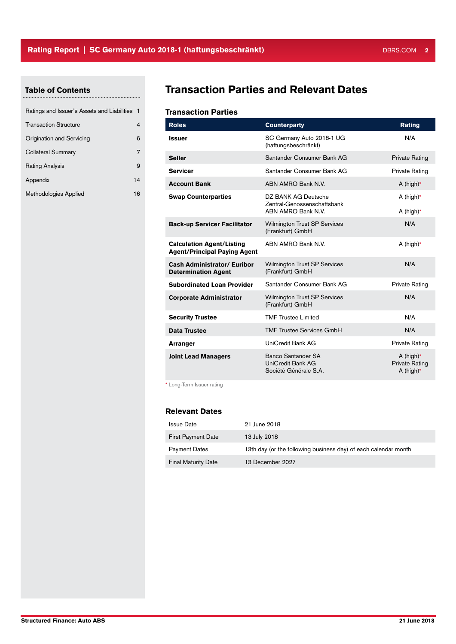# Table of Contents

| Ratings and Issuer's Assets and Liabilities 1 |    |
|-----------------------------------------------|----|
| <b>Transaction Structure</b>                  |    |
| Origination and Servicing                     | 6  |
| <b>Collateral Summary</b>                     | 7  |
| <b>Rating Analysis</b>                        | 9  |
| Appendix                                      | 14 |
| Methodologies Applied                         | 16 |

# Transaction Parties and Relevant Dates

#### Transaction Parties

| <b>Roles</b>                                                            | <b>Counterparty</b>                                                      | <b>Rating</b>                                         |
|-------------------------------------------------------------------------|--------------------------------------------------------------------------|-------------------------------------------------------|
| <b>Issuer</b>                                                           | SC Germany Auto 2018-1 UG<br>(haftungsbeschränkt)                        | N/A                                                   |
| <b>Seller</b>                                                           | Santander Consumer Bank AG                                               | <b>Private Rating</b>                                 |
| <b>Servicer</b>                                                         | Santander Consumer Bank AG                                               | Private Rating                                        |
| <b>Account Bank</b>                                                     | ABN AMRO Bank N.V.                                                       | A (high) $*$                                          |
| <b>Swap Counterparties</b>                                              | DZ BANK AG Deutsche<br>Zentral-Genossenschaftsbank<br>ABN AMRO Bank N.V. | A (high) $*$<br>A (high) $*$                          |
| <b>Back-up Servicer Facilitator</b>                                     | <b>Wilmington Trust SP Services</b><br>(Frankfurt) GmbH                  | N/A                                                   |
| <b>Calculation Agent/Listing</b><br><b>Agent/Principal Paying Agent</b> | ABN AMRO Bank N.V.                                                       | A (high)*                                             |
| <b>Cash Administrator/ Euribor</b><br><b>Determination Agent</b>        | <b>Wilmington Trust SP Services</b><br>(Frankfurt) GmbH                  | N/A                                                   |
| <b>Subordinated Loan Provider</b>                                       | Santander Consumer Bank AG                                               | Private Rating                                        |
| <b>Corporate Administrator</b>                                          | <b>Wilmington Trust SP Services</b><br>(Frankfurt) GmbH                  | N/A                                                   |
| <b>Security Trustee</b>                                                 | <b>TMF Trustee Limited</b>                                               | N/A                                                   |
| Data Trustee                                                            | <b>TMF Trustee Services GmbH</b>                                         | N/A                                                   |
| <b>Arranger</b>                                                         | UniCredit Bank AG                                                        | Private Rating                                        |
| <b>Joint Lead Managers</b>                                              | Banco Santander SA<br>UniCredit Bank AG<br>Société Générale S.A.         | A (high) $*$<br><b>Private Rating</b><br>A (high) $*$ |

\* Long-Term Issuer rating

#### Relevant Dates

| Issue Date                 | 21 June 2018                                                    |
|----------------------------|-----------------------------------------------------------------|
| <b>First Payment Date</b>  | 13 July 2018                                                    |
| Payment Dates              | 13th day (or the following business day) of each calendar month |
| <b>Final Maturity Date</b> | 13 December 2027                                                |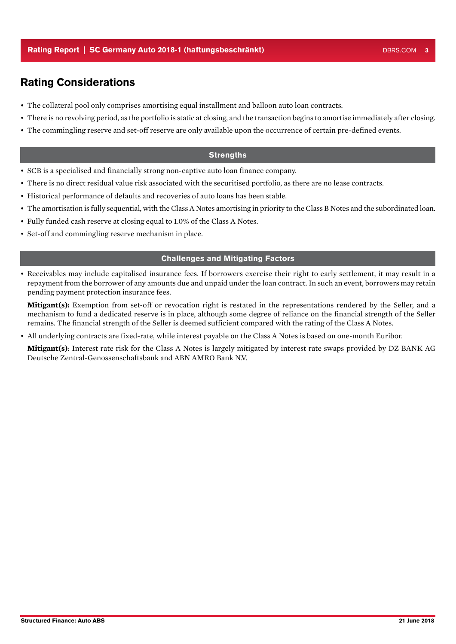# Rating Considerations

- The collateral pool only comprises amortising equal installment and balloon auto loan contracts.
- There is no revolving period, as the portfolio is static at closing, and the transaction begins to amortise immediately after closing.
- The commingling reserve and set-off reserve are only available upon the occurrence of certain pre-defined events.

#### **Strengths**

- SCB is a specialised and financially strong non-captive auto loan finance company.
- There is no direct residual value risk associated with the securitised portfolio, as there are no lease contracts.
- Historical performance of defaults and recoveries of auto loans has been stable.
- The amortisation is fully sequential, with the Class A Notes amortising in priority to the Class B Notes and the subordinated loan.
- Fully funded cash reserve at closing equal to 1.0% of the Class A Notes.
- Set-off and commingling reserve mechanism in place.

#### Challenges and Mitigating Factors

• Receivables may include capitalised insurance fees. If borrowers exercise their right to early settlement, it may result in a repayment from the borrower of any amounts due and unpaid under the loan contract. In such an event, borrowers may retain pending payment protection insurance fees.

**Mitigant(s):** Exemption from set-off or revocation right is restated in the representations rendered by the Seller, and a mechanism to fund a dedicated reserve is in place, although some degree of reliance on the financial strength of the Seller remains. The financial strength of the Seller is deemed sufficient compared with the rating of the Class A Notes.

• All underlying contracts are fixed-rate, while interest payable on the Class A Notes is based on one-month Euribor.

**Mitigant(s)**: Interest rate risk for the Class A Notes is largely mitigated by interest rate swaps provided by DZ BANK AG Deutsche Zentral-Genossenschaftsbank and ABN AMRO Bank N.V.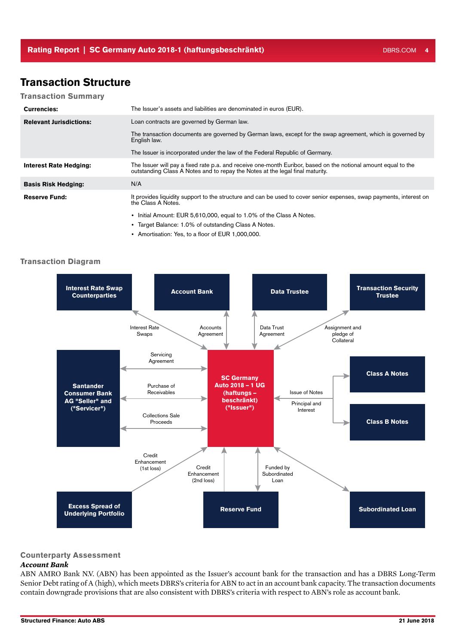# Transaction Structure

#### Transaction Summary

| <b>Currencies:</b>             | The Issuer's assets and liabilities are denominated in euros (EUR).                                                                                                                             |
|--------------------------------|-------------------------------------------------------------------------------------------------------------------------------------------------------------------------------------------------|
| <b>Relevant Jurisdictions:</b> | Loan contracts are governed by German law.                                                                                                                                                      |
|                                | The transaction documents are governed by German laws, except for the swap agreement, which is governed by<br>English law.                                                                      |
|                                | The Issuer is incorporated under the law of the Federal Republic of Germany.                                                                                                                    |
| <b>Interest Rate Hedging:</b>  | The Issuer will pay a fixed rate p.a. and receive one-month Euribor, based on the notional amount equal to the<br>outstanding Class A Notes and to repay the Notes at the legal final maturity. |
| <b>Basis Risk Hedging:</b>     | N/A                                                                                                                                                                                             |
| <b>Reserve Fund:</b>           | It provides liquidity support to the structure and can be used to cover senior expenses, swap payments, interest on<br>the Class A Notes.                                                       |
|                                | • Initial Amount: EUR 5,610,000, equal to 1.0% of the Class A Notes.                                                                                                                            |

- Target Balance: 1.0% of outstanding Class A Notes.
- Amortisation: Yes, to a floor of EUR 1,000,000.

#### **Transaction Diagram**



#### Counterparty Assessment

#### *Account Bank*

ABN AMRO Bank N.V. (ABN) has been appointed as the Issuer's account bank for the transaction and has a DBRS Long-Term Senior Debt rating of A (high), which meets DBRS's criteria for ABN to act in an account bank capacity. The transaction documents contain downgrade provisions that are also consistent with DBRS's criteria with respect to ABN's role as account bank.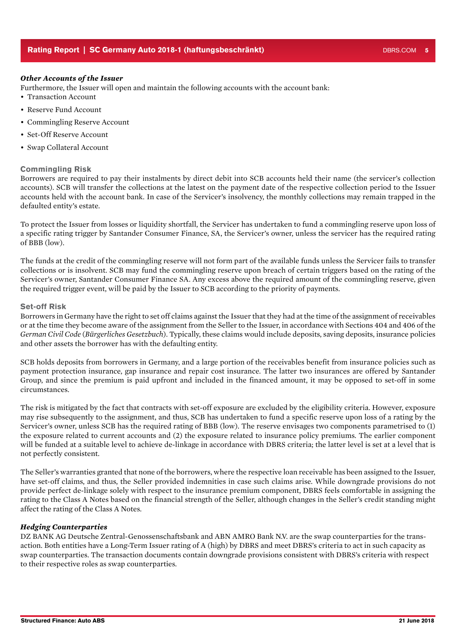#### *Other Accounts of the Issuer*

Furthermore, the Issuer will open and maintain the following accounts with the account bank:

- Transaction Account
- Reserve Fund Account
- Commingling Reserve Account
- Set-Off Reserve Account
- Swap Collateral Account

#### Commingling Risk

Borrowers are required to pay their instalments by direct debit into SCB accounts held their name (the servicer's collection accounts). SCB will transfer the collections at the latest on the payment date of the respective collection period to the Issuer accounts held with the account bank. In case of the Servicer's insolvency, the monthly collections may remain trapped in the defaulted entity's estate.

To protect the Issuer from losses or liquidity shortfall, the Servicer has undertaken to fund a commingling reserve upon loss of a specific rating trigger by Santander Consumer Finance, SA, the Servicer's owner, unless the servicer has the required rating of BBB (low).

The funds at the credit of the commingling reserve will not form part of the available funds unless the Servicer fails to transfer collections or is insolvent. SCB may fund the commingling reserve upon breach of certain triggers based on the rating of the Servicer's owner, Santander Consumer Finance SA. Any excess above the required amount of the commingling reserve, given the required trigger event, will be paid by the Issuer to SCB according to the priority of payments.

#### Set-off Risk

Borrowers in Germany have the right to set off claims against the Issuer that they had at the time of the assignment of receivables or at the time they become aware of the assignment from the Seller to the Issuer, in accordance with Sections 404 and 406 of the *German Civil Code* (*Bürgerliches Gesetzbuch*). Typically, these claims would include deposits, saving deposits, insurance policies and other assets the borrower has with the defaulting entity.

SCB holds deposits from borrowers in Germany, and a large portion of the receivables benefit from insurance policies such as payment protection insurance, gap insurance and repair cost insurance. The latter two insurances are offered by Santander Group, and since the premium is paid upfront and included in the financed amount, it may be opposed to set-off in some circumstances.

The risk is mitigated by the fact that contracts with set-off exposure are excluded by the eligibility criteria. However, exposure may rise subsequently to the assignment, and thus, SCB has undertaken to fund a specific reserve upon loss of a rating by the Servicer's owner, unless SCB has the required rating of BBB (low). The reserve envisages two components parametrised to (1) the exposure related to current accounts and (2) the exposure related to insurance policy premiums. The earlier component will be funded at a suitable level to achieve de-linkage in accordance with DBRS criteria; the latter level is set at a level that is not perfectly consistent.

The Seller's warranties granted that none of the borrowers, where the respective loan receivable has been assigned to the Issuer, have set-off claims, and thus, the Seller provided indemnities in case such claims arise. While downgrade provisions do not provide perfect de-linkage solely with respect to the insurance premium component, DBRS feels comfortable in assigning the rating to the Class A Notes based on the financial strength of the Seller, although changes in the Seller's credit standing might affect the rating of the Class A Notes.

#### *Hedging Counterparties*

DZ BANK AG Deutsche Zentral-Genossenschaftsbank and ABN AMRO Bank N.V. are the swap counterparties for the transaction. Both entities have a Long-Term Issuer rating of A (high) by DBRS and meet DBRS's criteria to act in such capacity as swap counterparties. The transaction documents contain downgrade provisions consistent with DBRS's criteria with respect to their respective roles as swap counterparties.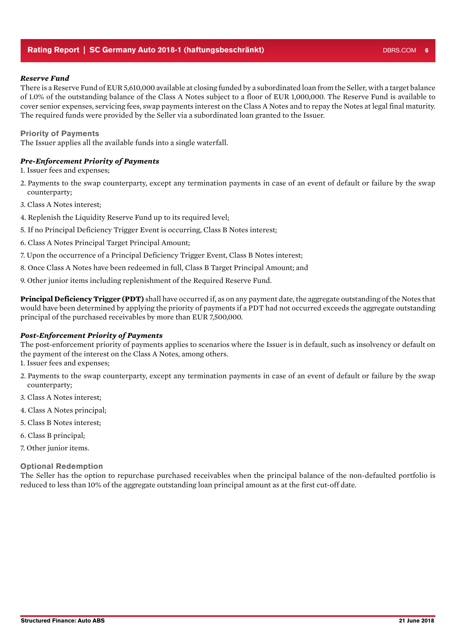#### Rating Report | SC Germany Auto 2018-1 (haftungsbeschränkt) DBRS.COM 6 DBRS.COM 6

#### *Reserve Fund*

There is a Reserve Fund of EUR 5,610,000 available at closing funded by a subordinated loan from the Seller, with a target balance of 1.0% of the outstanding balance of the Class A Notes subject to a floor of EUR 1,000,000. The Reserve Fund is available to cover senior expenses, servicing fees, swap payments interest on the Class A Notes and to repay the Notes at legal final maturity. The required funds were provided by the Seller via a subordinated loan granted to the Issuer.

#### Priority of Payments

The Issuer applies all the available funds into a single waterfall.

#### *Pre-Enforcement Priority of Payments*

1. Issuer fees and expenses;

- 2. Payments to the swap counterparty, except any termination payments in case of an event of default or failure by the swap counterparty;
- 3. Class A Notes interest;
- 4. Replenish the Liquidity Reserve Fund up to its required level;
- 5. If no Principal Deficiency Trigger Event is occurring, Class B Notes interest;
- 6. Class A Notes Principal Target Principal Amount;
- 7. Upon the occurrence of a Principal Deficiency Trigger Event, Class B Notes interest;
- 8. Once Class A Notes have been redeemed in full, Class B Target Principal Amount; and
- 9. Other junior items including replenishment of the Required Reserve Fund.

**Principal Deficiency Trigger (PDT)** shall have occurred if, as on any payment date, the aggregate outstanding of the Notes that would have been determined by applying the priority of payments if a PDT had not occurred exceeds the aggregate outstanding principal of the purchased receivables by more than EUR 7,500,000.

#### *Post-Enforcement Priority of Payments*

The post-enforcement priority of payments applies to scenarios where the Issuer is in default, such as insolvency or default on the payment of the interest on the Class A Notes, among others.

- 1. Issuer fees and expenses;
- 2. Payments to the swap counterparty, except any termination payments in case of an event of default or failure by the swap counterparty;
- 3. Class A Notes interest;
- 4. Class A Notes principal;
- 5. Class B Notes interest;
- 6. Class B principal;
- 7. Other junior items.

#### Optional Redemption

The Seller has the option to repurchase purchased receivables when the principal balance of the non-defaulted portfolio is reduced to less than 10% of the aggregate outstanding loan principal amount as at the first cut-off date.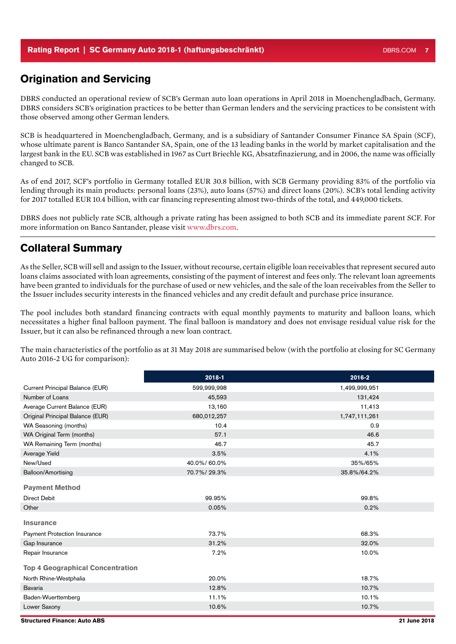#### Rating Report | SC Germany Auto 2018-1 (haftungsbeschränkt) DBRS.COM 7 DBRS.COM

### Origination and Servicing

DBRS conducted an operational review of SCB's German auto loan operations in April 2018 in Moenchengladbach, Germany. DBRS considers SCB's origination practices to be better than German lenders and the servicing practices to be consistent with those observed among other German lenders.

SCB is headquartered in Moenchengladbach, Germany, and is a subsidiary of Santander Consumer Finance SA Spain (SCF), whose ultimate parent is Banco Santander SA, Spain, one of the 13 leading banks in the world by market capitalisation and the largest bank in the EU. SCB was established in 1967 as Curt Briechle KG, Absatzfinazierung, and in 2006, the name was officially changed to SCB.

As of end 2017, SCF's portfolio in Germany totalled EUR 30.8 billion, with SCB Germany providing 83% of the portfolio via lending through its main products: personal loans (23%), auto loans (57%) and direct loans (20%). SCB's total lending activity for 2017 totalled EUR 10.4 billion, with car financing representing almost two-thirds of the total, and 449,000 tickets.

DBRS does not publicly rate SCB, although a private rating has been assigned to both SCB and its immediate parent SCF. For more information on Banco Santander, please visit www.dbrs.com.

## Collateral Summary

As the Seller, SCB will sell and assign to the Issuer, without recourse, certain eligible loan receivables that represent secured auto loans claims associated with loan agreements, consisting of the payment of interest and fees only. The relevant loan agreements have been granted to individuals for the purchase of used or new vehicles, and the sale of the loan receivables from the Seller to the Issuer includes security interests in the financed vehicles and any credit default and purchase price insurance.

The pool includes both standard financing contracts with equal monthly payments to maturity and balloon loans, which necessitates a higher final balloon payment. The final balloon is mandatory and does not envisage residual value risk for the Issuer, but it can also be refinanced through a new loan contract.

The main characteristics of the portfolio as at 31 May 2018 are summarised below (with the portfolio at closing for SC Germany Auto 2016-2 UG for comparison):

|                                         | 2018-1      | 2016-2        |
|-----------------------------------------|-------------|---------------|
| Current Principal Balance (EUR)         | 599,999,998 | 1,499,999,951 |
| Number of Loans                         | 45,593      | 131,424       |
| Average Current Balance (EUR)           | 13,160      | 11,413        |
| Original Principal Balance (EUR)        | 680,012,257 | 1,747,111,261 |
| WA Seasoning (months)                   | 10.4        | 0.9           |
| WA Original Term (months)               | 57.1        | 46.6          |
| WA Remaining Term (months)              | 46.7        | 45.7          |
| Average Yield                           | 3.5%        | 4.1%          |
| New/Used                                | 40.0%/60.0% | 35%/65%       |
| Balloon/Amortising                      | 70.7%/29.3% | 35.8%/64.2%   |
| <b>Payment Method</b>                   |             |               |
| <b>Direct Debit</b>                     | 99.95%      | 99.8%         |
| Other                                   | 0.05%       | 0.2%          |
| <b>Insurance</b>                        |             |               |
| <b>Payment Protection Insurance</b>     | 73.7%       | 68.3%         |
| Gap Insurance                           | 31.2%       | 32.0%         |
| Repair Insurance                        | 7.2%        | 10.0%         |
| <b>Top 4 Geographical Concentration</b> |             |               |
| North Rhine-Westphalia                  | 20.0%       | 18.7%         |
| <b>Bavaria</b>                          | 12.8%       | 10.7%         |
| Baden-Wuerttemberg                      | 11.1%       | 10.1%         |
| Lower Saxony                            | 10.6%       | 10.7%         |
|                                         |             |               |

Structured Finance: Auto ABS 21 June 2018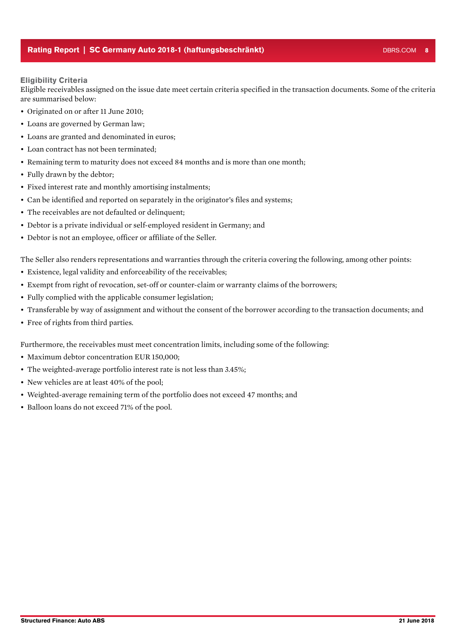#### Rating Report | SC Germany Auto 2018-1 (haftungsbeschränkt) DBRS.COM 8

#### Eligibility Criteria

Eligible receivables assigned on the issue date meet certain criteria specified in the transaction documents. Some of the criteria are summarised below:

- Originated on or after 11 June 2010;
- Loans are governed by German law;
- Loans are granted and denominated in euros;
- Loan contract has not been terminated;
- Remaining term to maturity does not exceed 84 months and is more than one month;
- Fully drawn by the debtor;
- Fixed interest rate and monthly amortising instalments;
- Can be identified and reported on separately in the originator's files and systems;
- The receivables are not defaulted or delinquent;
- Debtor is a private individual or self-employed resident in Germany; and
- Debtor is not an employee, officer or affiliate of the Seller.

The Seller also renders representations and warranties through the criteria covering the following, among other points:

- Existence, legal validity and enforceability of the receivables;
- Exempt from right of revocation, set-off or counter-claim or warranty claims of the borrowers;
- Fully complied with the applicable consumer legislation;
- Transferable by way of assignment and without the consent of the borrower according to the transaction documents; and
- Free of rights from third parties.

Furthermore, the receivables must meet concentration limits, including some of the following:

- Maximum debtor concentration EUR 150,000;
- The weighted-average portfolio interest rate is not less than 3.45%;
- New vehicles are at least 40% of the pool:
- Weighted-average remaining term of the portfolio does not exceed 47 months; and
- Balloon loans do not exceed 71% of the pool.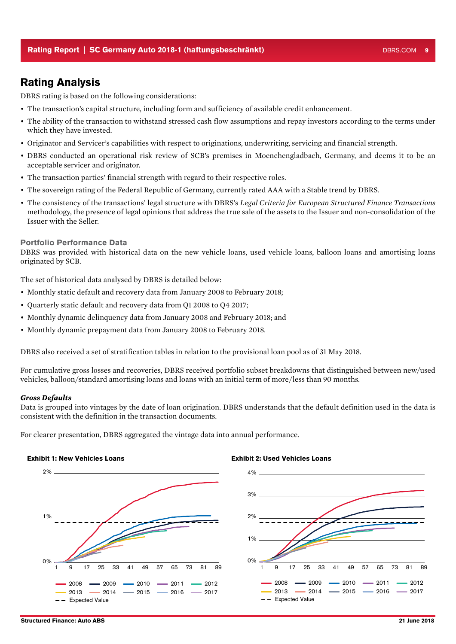### Rating Analysis

DBRS rating is based on the following considerations:

- The transaction's capital structure, including form and sufficiency of available credit enhancement.
- The ability of the transaction to withstand stressed cash flow assumptions and repay investors according to the terms under which they have invested.
- Originator and Servicer's capabilities with respect to originations, underwriting, servicing and financial strength.
- DBRS conducted an operational risk review of SCB's premises in Moenchengladbach, Germany, and deems it to be an acceptable servicer and originator.
- The transaction parties' financial strength with regard to their respective roles.
- The sovereign rating of the Federal Republic of Germany, currently rated AAA with a Stable trend by DBRS.
- The consistency of the transactions' legal structure with DBRS's *Legal Criteria for European Structured Finance Transactions*  methodology, the presence of legal opinions that address the true sale of the assets to the Issuer and non-consolidation of the Issuer with the Seller.

#### Portfolio Performance Data

DBRS was provided with historical data on the new vehicle loans, used vehicle loans, balloon loans and amortising loans originated by SCB.

The set of historical data analysed by DBRS is detailed below:

- Monthly static default and recovery data from January 2008 to February 2018;
- Quarterly static default and recovery data from Q1 2008 to Q4 2017;
- Monthly dynamic delinquency data from January 2008 and February 2018; and
- Monthly dynamic prepayment data from January 2008 to February 2018.

DBRS also received a set of stratification tables in relation to the provisional loan pool as of 31 May 2018.

For cumulative gross losses and recoveries, DBRS received portfolio subset breakdowns that distinguished between new/used vehicles, balloon/standard amortising loans and loans with an initial term of more/less than 90 months.

#### *Gross Defaults*

Data is grouped into vintages by the date of loan origination. DBRS understands that the default definition used in the data is consistent with the definition in the transaction documents.

For clearer presentation, DBRS aggregated the vintage data into annual performance.

#### Exhibit 1: New Vehicles Loans



#### Exhibit 2: Used Vehicles Loans

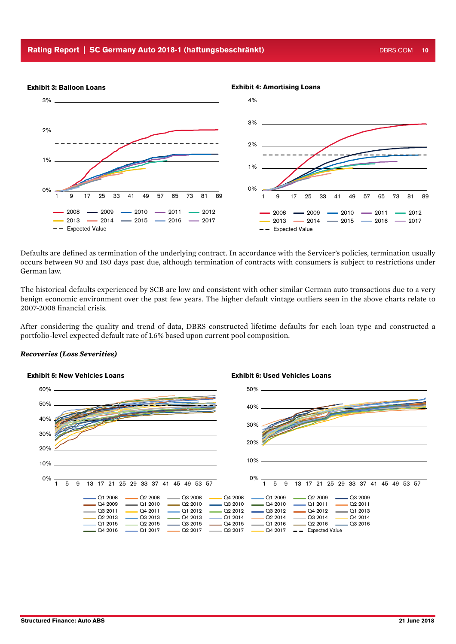#### Rating Report | SC Germany Auto 2018-1 (haftungsbeschränkt) National DBRS.COM 10



Defaults are defined as termination of the underlying contract. In accordance with the Servicer's policies, termination usually occurs between 90 and 180 days past due, although termination of contracts with consumers is subject to restrictions under German law.

The historical defaults experienced by SCB are low and consistent with other similar German auto transactions due to a very benign economic environment over the past few years. The higher default vintage outliers seen in the above charts relate to 2007-2008 financial crisis.

After considering the quality and trend of data, DBRS constructed lifetime defaults for each loan type and constructed a portfolio-level expected default rate of 1.6% based upon current pool composition.

#### *Recoveries (Loss Severities)*

#### Exhibit 5: New Vehicles Loans Exhibit 6: Used Vehicles Loans



#### Exhibit 4: Amortising Loans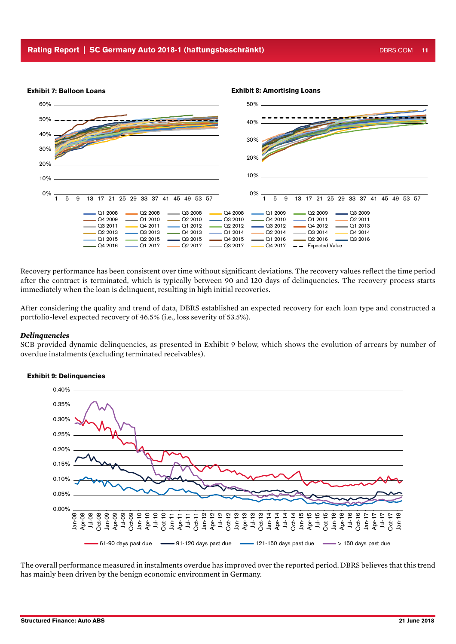

Recovery performance has been consistent over time without significant deviations. The recovery values reflect the time period after the contract is terminated, which is typically between 90 and 120 days of delinquencies. The recovery process starts immediately when the loan is delinquent, resulting in high initial recoveries.

After considering the quality and trend of data, DBRS established an expected recovery for each loan type and constructed a portfolio-level expected recovery of 46.5% (i.e., loss severity of 53.5%).

#### *Delinquencies*

SCB provided dynamic delinquencies, as presented in Exhibit 9 below, which shows the evolution of arrears by number of overdue instalments (excluding terminated receivables).



#### Exhibit 9: Delinquencies

The overall performance measured in instalments overdue has improved over the reported period. DBRS believes that this trend has mainly been driven by the benign economic environment in Germany.

Oct-17 Jan-18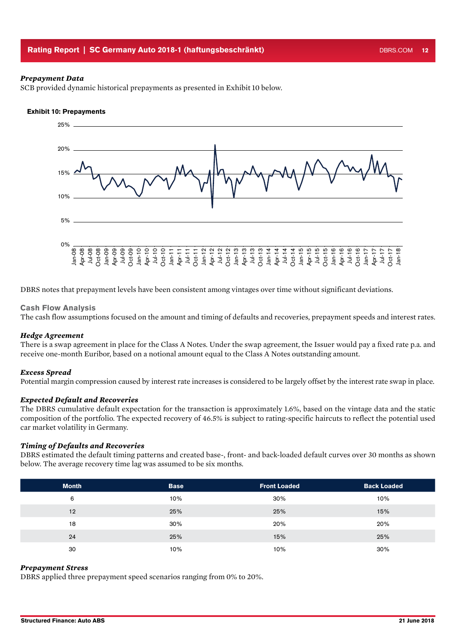#### Rating Report | SC Germany Auto 2018-1 (haftungsbeschränkt) National DBRS.COM 12

#### *Prepayment Data*

SCB provided dynamic historical prepayments as presented in Exhibit 10 below.

#### Exhibit 10: Prepayments



DBRS notes that prepayment levels have been consistent among vintages over time without significant deviations.

#### Cash Flow Analysis

The cash flow assumptions focused on the amount and timing of defaults and recoveries, prepayment speeds and interest rates.

#### *Hedge Agreement*

There is a swap agreement in place for the Class A Notes. Under the swap agreement, the Issuer would pay a fixed rate p.a. and receive one-month Euribor, based on a notional amount equal to the Class A Notes outstanding amount.

#### *Excess Spread*

Potential margin compression caused by interest rate increases is considered to be largely offset by the interest rate swap in place.

#### *Expected Default and Recoveries*

The DBRS cumulative default expectation for the transaction is approximately 1.6%, based on the vintage data and the static composition of the portfolio. The expected recovery of 46.5% is subject to rating-specific haircuts to reflect the potential used car market volatility in Germany.

#### *Timing of Defaults and Recoveries*

DBRS estimated the default timing patterns and created base-, front- and back-loaded default curves over 30 months as shown below. The average recovery time lag was assumed to be six months.

| <b>Month</b> | <b>Base</b> | <b>Front Loaded</b> | <b>Back Loaded</b> |
|--------------|-------------|---------------------|--------------------|
| 6            | 10%         | 30%                 | 10%                |
| 12           | 25%         | 25%                 | 15%                |
| 18           | 30%         | 20%                 | 20%                |
| 24           | 25%         | 15%                 | 25%                |
| 30           | 10%         | 10%                 | 30%                |

#### *Prepayment Stress*

DBRS applied three prepayment speed scenarios ranging from 0% to 20%.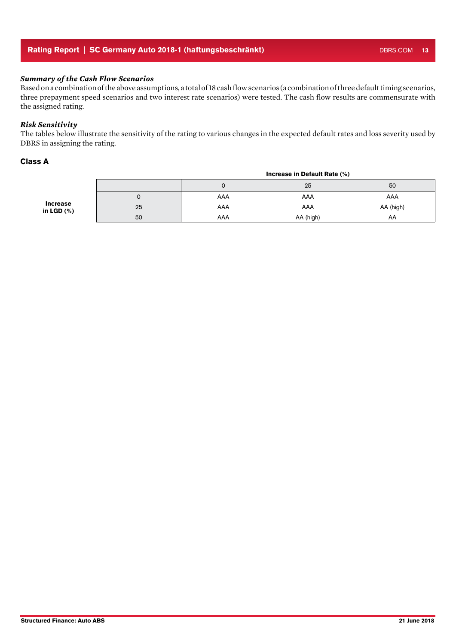#### Rating Report | SC Germany Auto 2018-1 (haftungsbeschränkt) DBRS.COM 13

#### *Summary of the Cash Flow Scenarios*

Based on a combination of the above assumptions, a total of 18 cash flow scenarios (a combination of three default timing scenarios, three prepayment speed scenarios and two interest rate scenarios) were tested. The cash flow results are commensurate with the assigned rating.

#### *Risk Sensitivity*

The tables below illustrate the sensitivity of the rating to various changes in the expected default rates and loss severity used by DBRS in assigning the rating.

#### Class A

|                                  |    |     | Increase in Default Rate (%) |           |
|----------------------------------|----|-----|------------------------------|-----------|
|                                  |    | U   | 25                           | 50        |
| <b>Increase</b><br>in LGD $(\%)$ | U  | AAA | AAA                          | AAA       |
|                                  | 25 | AAA | AAA                          | AA (high) |
|                                  | 50 | AAA | AA (high)                    | AA        |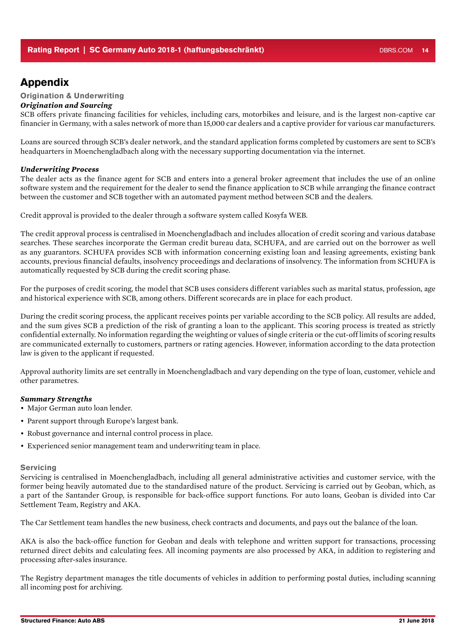### Appendix

#### Origination & Underwriting

#### *Origination and Sourcing*

SCB offers private financing facilities for vehicles, including cars, motorbikes and leisure, and is the largest non-captive car financier in Germany, with a sales network of more than 15,000 car dealers and a captive provider for various car manufacturers.

Loans are sourced through SCB's dealer network, and the standard application forms completed by customers are sent to SCB's headquarters in Moenchengladbach along with the necessary supporting documentation via the internet.

#### *Underwriting Process*

The dealer acts as the finance agent for SCB and enters into a general broker agreement that includes the use of an online software system and the requirement for the dealer to send the finance application to SCB while arranging the finance contract between the customer and SCB together with an automated payment method between SCB and the dealers.

Credit approval is provided to the dealer through a software system called Kosyfa WEB.

The credit approval process is centralised in Moenchengladbach and includes allocation of credit scoring and various database searches. These searches incorporate the German credit bureau data, SCHUFA, and are carried out on the borrower as well as any guarantors. SCHUFA provides SCB with information concerning existing loan and leasing agreements, existing bank accounts, previous financial defaults, insolvency proceedings and declarations of insolvency. The information from SCHUFA is automatically requested by SCB during the credit scoring phase.

For the purposes of credit scoring, the model that SCB uses considers different variables such as marital status, profession, age and historical experience with SCB, among others. Different scorecards are in place for each product.

During the credit scoring process, the applicant receives points per variable according to the SCB policy. All results are added, and the sum gives SCB a prediction of the risk of granting a loan to the applicant. This scoring process is treated as strictly confidential externally. No information regarding the weighting or values of single criteria or the cut-off limits of scoring results are communicated externally to customers, partners or rating agencies. However, information according to the data protection law is given to the applicant if requested.

Approval authority limits are set centrally in Moenchengladbach and vary depending on the type of loan, customer, vehicle and other parametres.

#### *Summary Strengths*

- Major German auto loan lender.
- Parent support through Europe's largest bank.
- Robust governance and internal control process in place.
- Experienced senior management team and underwriting team in place.

#### **Servicing**

Servicing is centralised in Moenchengladbach, including all general administrative activities and customer service, with the former being heavily automated due to the standardised nature of the product. Servicing is carried out by Geoban, which, as a part of the Santander Group, is responsible for back-office support functions. For auto loans, Geoban is divided into Car Settlement Team, Registry and AKA.

The Car Settlement team handles the new business, check contracts and documents, and pays out the balance of the loan.

AKA is also the back-office function for Geoban and deals with telephone and written support for transactions, processing returned direct debits and calculating fees. All incoming payments are also processed by AKA, in addition to registering and processing after-sales insurance.

The Registry department manages the title documents of vehicles in addition to performing postal duties, including scanning all incoming post for archiving.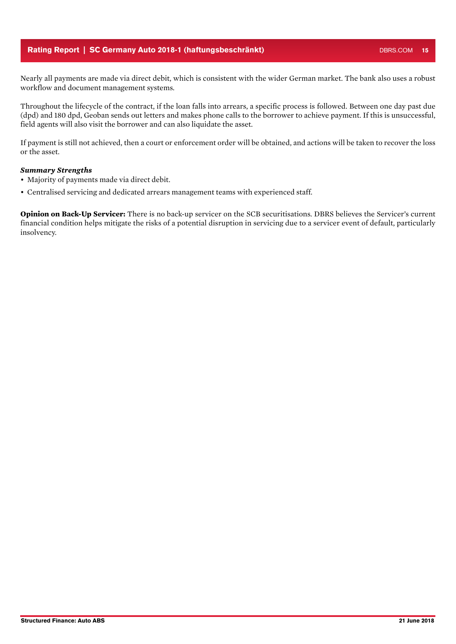#### Rating Report | SC Germany Auto 2018-1 (haftungsbeschränkt) DBRS.COM 15

Throughout the lifecycle of the contract, if the loan falls into arrears, a specific process is followed. Between one day past due (dpd) and 180 dpd, Geoban sends out letters and makes phone calls to the borrower to achieve payment. If this is unsuccessful, field agents will also visit the borrower and can also liquidate the asset.

If payment is still not achieved, then a court or enforcement order will be obtained, and actions will be taken to recover the loss or the asset.

#### *Summary Strengths*

- Majority of payments made via direct debit.
- Centralised servicing and dedicated arrears management teams with experienced staff.

**Opinion on Back-Up Servicer:** There is no back-up servicer on the SCB securitisations. DBRS believes the Servicer's current financial condition helps mitigate the risks of a potential disruption in servicing due to a servicer event of default, particularly insolvency.